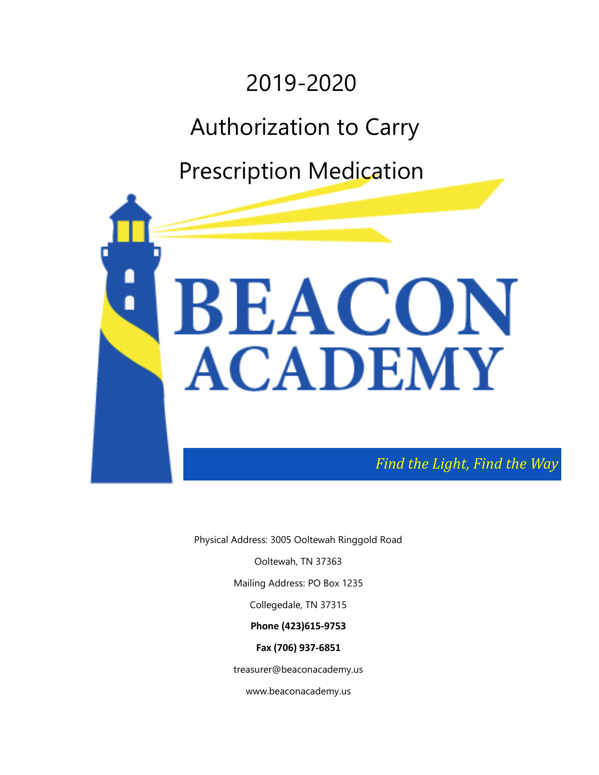

Physical Address: 3005 Ooltewah Ringgold Road

Ooltewah, TN 37363

Mailing Address: PO Box 1235

Collegedale, TN 37315

**Phone (423)615-9753** 

**Fax (706) 937-6851** 

treasurer@beaconacademy.us

www.beaconacademy.us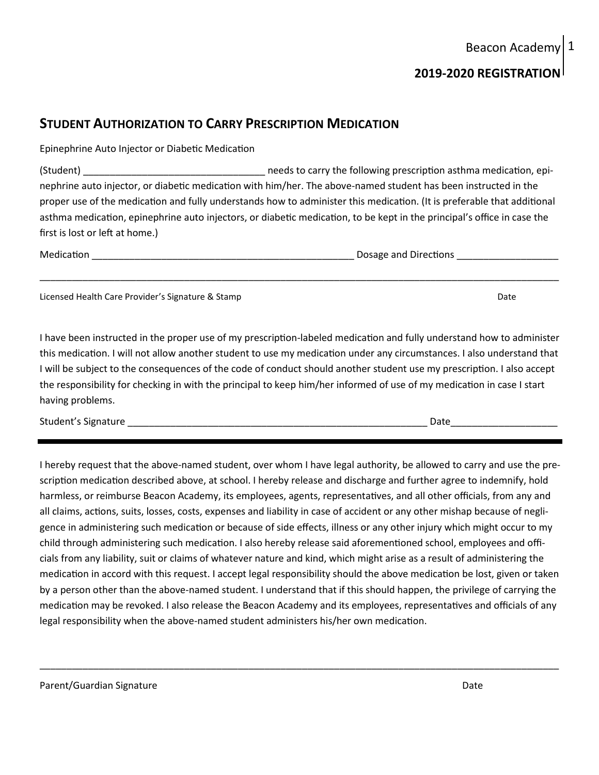# Beacon Academy

## **2019-2020 REGISTRATION**

### **STUDENT AUTHORIZATION TO CARRY PRESCRIPTION MEDICATION**

Epinephrine Auto Injector or Diabetic Medication

(Student) \_\_\_\_\_\_\_\_\_\_\_\_\_\_\_\_\_\_\_\_\_\_\_\_\_\_\_\_\_\_\_\_\_\_ needs to carry the following prescription asthma medication, epinephrine auto injector, or diabetic medication with him/her. The above-named student has been instructed in the proper use of the medication and fully understands how to administer this medication. (It is preferable that additional asthma medication, epinephrine auto injectors, or diabetic medication, to be kept in the principal's office in case the first is lost or left at home.)

\_\_\_\_\_\_\_\_\_\_\_\_\_\_\_\_\_\_\_\_\_\_\_\_\_\_\_\_\_\_\_\_\_\_\_\_\_\_\_\_\_\_\_\_\_\_\_\_\_\_\_\_\_\_\_\_\_\_\_\_\_\_\_\_\_\_\_\_\_\_\_\_\_\_\_\_\_\_\_\_\_\_\_\_\_\_\_\_\_\_\_\_\_\_\_\_\_

Medication \_\_\_\_\_\_\_\_\_\_\_\_\_\_\_\_\_\_\_\_\_\_\_\_\_\_\_\_\_\_\_\_\_\_\_\_\_\_\_\_\_\_\_\_\_\_\_\_\_ Dosage and Directions \_\_\_\_\_\_\_\_\_\_\_\_\_\_\_\_\_\_\_

Licensed Health Care Provider's Signature & Stamp Date

I have been instructed in the proper use of my prescription-labeled medication and fully understand how to administer this medication. I will not allow another student to use my medication under any circumstances. I also understand that I will be subject to the consequences of the code of conduct should another student use my prescription. I also accept the responsibility for checking in with the principal to keep him/her informed of use of my medication in case I start having problems.

Student's Signature and the student of the student of the student of the student of the student of the student

I hereby request that the above-named student, over whom I have legal authority, be allowed to carry and use the prescription medication described above, at school. I hereby release and discharge and further agree to indemnify, hold harmless, or reimburse Beacon Academy, its employees, agents, representatives, and all other officials, from any and all claims, actions, suits, losses, costs, expenses and liability in case of accident or any other mishap because of negligence in administering such medication or because of side effects, illness or any other injury which might occur to my child through administering such medication. I also hereby release said aforementioned school, employees and officials from any liability, suit or claims of whatever nature and kind, which might arise as a result of administering the medication in accord with this request. I accept legal responsibility should the above medication be lost, given or taken by a person other than the above-named student. I understand that if this should happen, the privilege of carrying the medication may be revoked. I also release the Beacon Academy and its employees, representatives and officials of any legal responsibility when the above-named student administers his/her own medication.

\_\_\_\_\_\_\_\_\_\_\_\_\_\_\_\_\_\_\_\_\_\_\_\_\_\_\_\_\_\_\_\_\_\_\_\_\_\_\_\_\_\_\_\_\_\_\_\_\_\_\_\_\_\_\_\_\_\_\_\_\_\_\_\_\_\_\_\_\_\_\_\_\_\_\_\_\_\_\_\_\_\_\_\_\_\_\_\_\_\_\_\_\_\_\_\_\_

1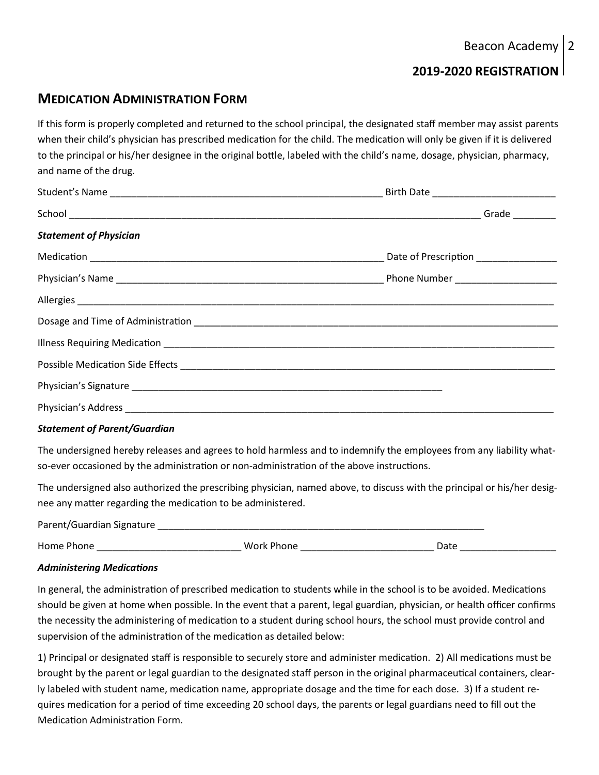# **2019-2020 REGISTRATION**

## **MEDICATION ADMINISTRATION FORM**

If this form is properly completed and returned to the school principal, the designated staff member may assist parents when their child's physician has prescribed medication for the child. The medication will only be given if it is delivered to the principal or his/her designee in the original bottle, labeled with the child's name, dosage, physician, pharmacy, and name of the drug.

| <b>Statement of Physician</b> |  |
|-------------------------------|--|
|                               |  |
|                               |  |
|                               |  |
|                               |  |
|                               |  |
|                               |  |
|                               |  |
|                               |  |

### *Statement of Parent/Guardian*

The undersigned hereby releases and agrees to hold harmless and to indemnify the employees from any liability whatso-ever occasioned by the administration or non-administration of the above instructions.

The undersigned also authorized the prescribing physician, named above, to discuss with the principal or his/her designee any matter regarding the medication to be administered.

Parent/Guardian Signature \_\_\_\_\_\_\_\_\_\_\_\_\_\_\_\_\_\_\_\_\_\_\_\_\_\_\_\_\_\_\_\_\_\_\_\_\_\_\_\_\_\_\_\_\_\_\_\_\_\_\_\_\_\_\_\_\_\_\_\_\_ Home Phone \_\_\_\_\_\_\_\_\_\_\_\_\_\_\_\_\_\_\_\_\_\_\_\_\_\_\_ Work Phone \_\_\_\_\_\_\_\_\_\_\_\_\_\_\_\_\_\_\_\_\_\_\_\_\_ Date \_\_\_\_\_\_\_\_\_\_\_\_\_\_\_\_\_\_

### *Administering Medications*

In general, the administration of prescribed medication to students while in the school is to be avoided. Medications should be given at home when possible. In the event that a parent, legal guardian, physician, or health officer confirms the necessity the administering of medication to a student during school hours, the school must provide control and supervision of the administration of the medication as detailed below:

1) Principal or designated staff is responsible to securely store and administer medication. 2) All medications must be brought by the parent or legal guardian to the designated staff person in the original pharmaceutical containers, clearly labeled with student name, medication name, appropriate dosage and the time for each dose. 3) If a student requires medication for a period of time exceeding 20 school days, the parents or legal guardians need to fill out the Medication Administration Form.